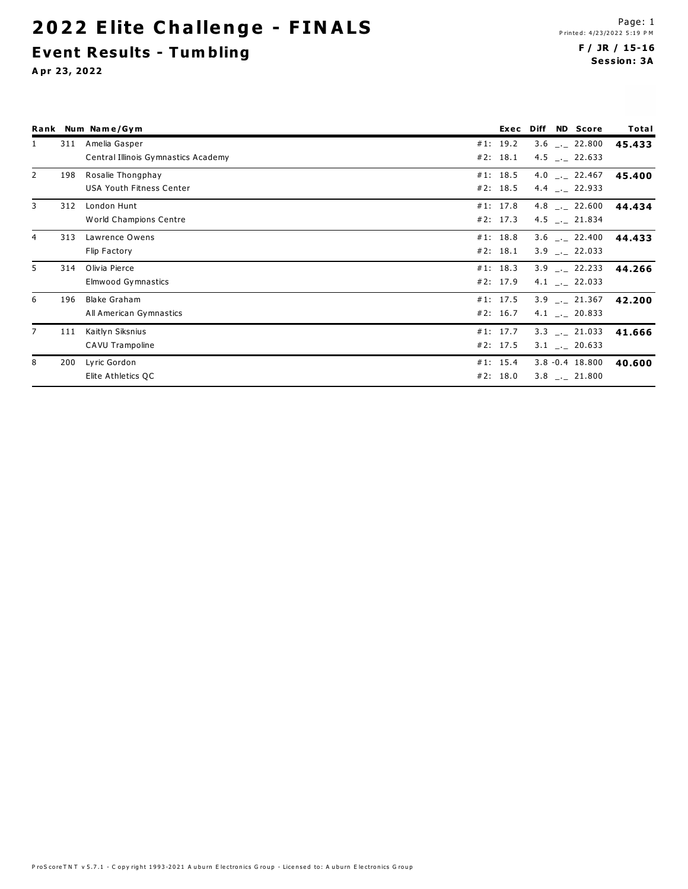## 2022 Elite Challenge - FINALS **Event Results - Tumbling**

#### F/ JR / 15-16 **Session: 3A**

|                |     | Rank Num Name/Gym                   | Exec     | Diff | <b>ND</b> Score              | Total  |
|----------------|-----|-------------------------------------|----------|------|------------------------------|--------|
| 1              | 311 | Amelia Gasper                       | #1: 19.2 |      | $3.6$ $_{-1}$ 22.800         | 45.433 |
|                |     | Central Illinois Gymnastics Academy | #2: 18.1 |      | 4.5 $\_$ . 22.633            |        |
| 2              | 198 | Rosalie Thongphay                   | #1: 18.5 |      | 4.0 $\ldots$ 22.467          | 45.400 |
|                |     | <b>USA Youth Fitness Center</b>     | #2: 18.5 |      | 4.4 $\ldots$ 22.933          |        |
| $\overline{3}$ | 312 | London Hunt                         | #1: 17.8 |      | 4.8 $\_$ . 22.600            | 44.434 |
|                |     | World Champions Centre              | #2: 17.3 |      | 4.5 $\_$ 21.834              |        |
| 4              | 313 | Lawrence Owens                      | #1: 18.8 |      | $3.6$ $_{\leftarrow}$ 22.400 | 44.433 |
|                |     | Flip Factory                        | #2: 18.1 |      | $3.9$ $-.$ 22.033            |        |
| 5              | 314 | Olivia Pierce                       | #1: 18.3 |      | $3.9$ $-.22.233$             | 44.266 |
|                |     | Elmwood Gymnastics                  | #2: 17.9 |      | 4.1 $\ldots$ 22.033          |        |
| 6              | 196 | Blake Graham                        | #1: 17.5 |      | $3.9$ $_{-1}$ 21.367         | 42.200 |
|                |     | All American Gymnastics             | #2: 16.7 |      | 4.1 $\ldots$ 20.833          |        |
| 7              | 111 | Kaitlyn Siksnius                    | #1: 17.7 |      | $3.3$ $-.$ 21.033            | 41.666 |
|                |     | CAVU Trampoline                     | #2: 17.5 |      | $3.1$ _._ 20.633             |        |
| 8              | 200 | Lyric Gordon                        | #1: 15.4 |      | $3.8 - 0.4$ 18.800           | 40.600 |
|                |     | Elite Athletics QC                  | #2: 18.0 |      | $3.8$ $_{-1}$ 21.800         |        |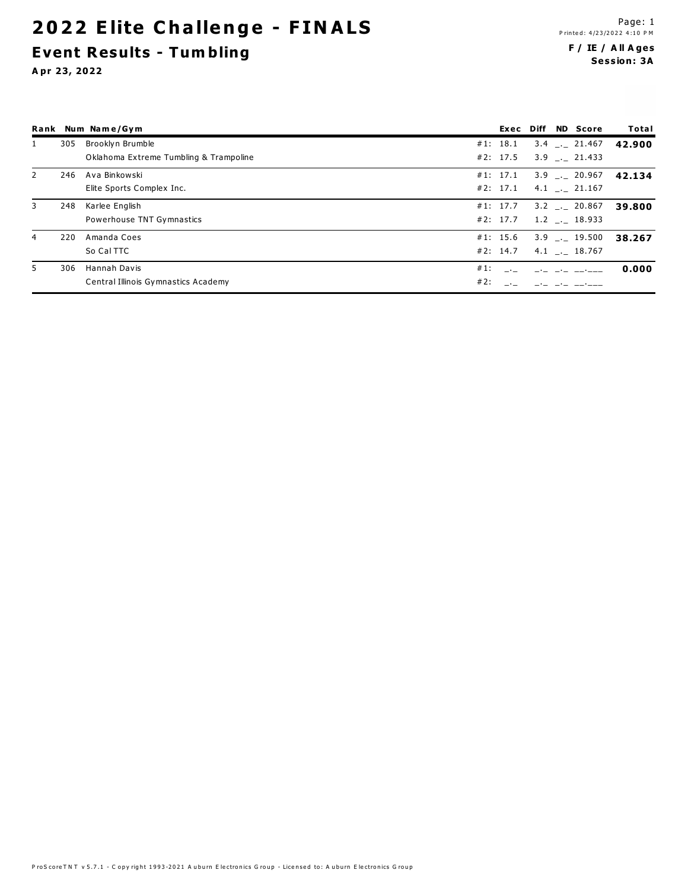## **2022 Elite Challenge - FINALS Event Results - Tum bling**

#### **F / IE / A ll A ge s Se ssion: 3A**

|              |     | Rank Num Name/Gym                          |          |  | Exec Diff ND Score   | Total  |
|--------------|-----|--------------------------------------------|----------|--|----------------------|--------|
| $\mathbf{1}$ | 305 | Brooklyn Brumble                           | #1: 18.1 |  | $3.4$ $_{-1}$ 21.467 | 42.900 |
|              |     | Oklahoma Extreme Tumbling & Trampoline     | #2: 17.5 |  | $3.9$ $-.21.433$     |        |
| 2            | 246 | Ava Binkowski                              | #1: 17.1 |  | $3.9$ $_{-1}$ 20.967 | 42.134 |
|              |     | Elite Sports Complex Inc.                  | #2: 17.1 |  | $4.1$ $_{-1}$ 21.167 |        |
| 3            | 248 | Karlee English                             | #1: 17.7 |  | $3.2$ $_{-}$ 20.867  | 39.800 |
|              |     | Powerhouse TNT Gymnastics                  | #2: 17.7 |  | $1.2$ $_{-1}$ 18.933 |        |
| 4            | 220 | Amanda Coes                                | #1: 15.6 |  | $3.9$ $_{-.}$ 19.500 | 38.267 |
|              |     | So Cal TTC                                 | #2: 14.7 |  | $4.1$ $_{-.}$ 18.767 |        |
| 5            | 306 | Hannah Davis<br>$#1$ :                     |          |  |                      | 0.000  |
|              |     | #2:<br>Central Illinois Gymnastics Academy |          |  |                      |        |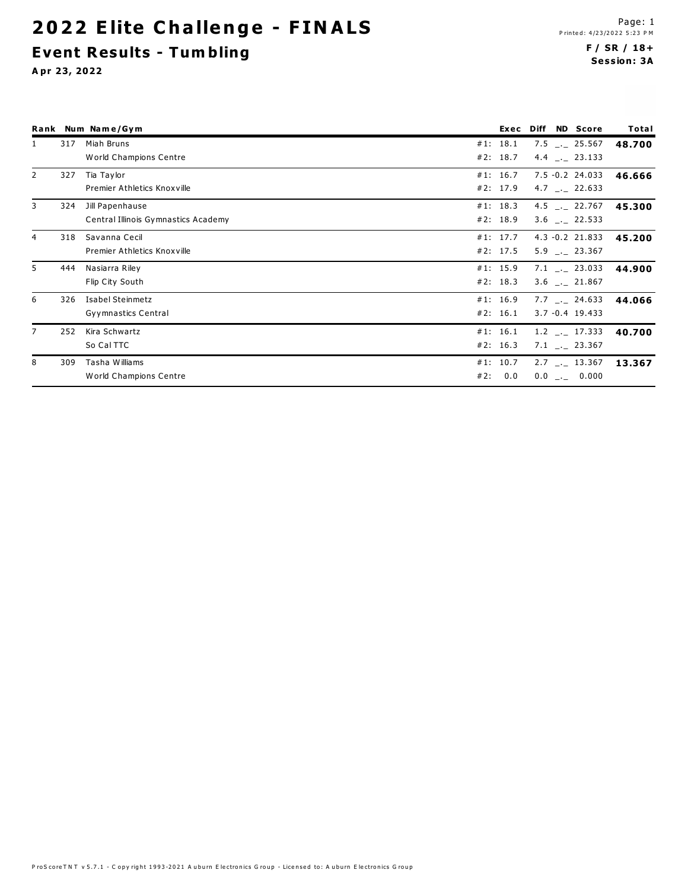## **2022 Elite Challenge - FINALS Event Results - Tum bling**

#### **F / SR / 18+ Se ssion: 3A**

|                |     | Rank Num Name/Gym                   |            | Exec Diff | <b>ND</b> Score              | Total  |
|----------------|-----|-------------------------------------|------------|-----------|------------------------------|--------|
|                | 317 | Miah Bruns                          | #1: 18.1   |           | $7.5$ $_{-1}$ 25.567         | 48.700 |
|                |     | World Champions Centre              | #2: 18.7   |           | 4.4 $\_$ 23.133              |        |
| 2              | 327 | Tia Taylor                          | #1: 16.7   |           | 7.5 -0.2 24.033              | 46.666 |
|                |     | Premier Athletics Knoxville         | #2: 17.9   |           | 4.7 $\ldots$ 22.633          |        |
| 3              | 324 | Jill Papenhause                     | #1: 18.3   |           | 4.5 $\_$ . 22.767            | 45.300 |
|                |     | Central Illinois Gymnastics Academy | #2: 18.9   |           | $3.6$ $\leftarrow$ 22.533    |        |
| $\overline{4}$ | 318 | Savanna Cecil                       | #1: 17.7   |           | $4.3 - 0.2$ 21.833           | 45.200 |
|                |     | Premier Athletics Knoxville         | #2: 17.5   |           | $5.9$ $-.23.367$             |        |
| 5              | 444 | Nasiarra Riley                      | #1: 15.9   |           | $7.1$ $-.$ 23.033            | 44.900 |
|                |     | Flip City South                     | #2: 18.3   |           | 3.6 . 21.867                 |        |
| 6              | 326 | Isabel Steinmetz                    | #1: 16.9   |           | $7.7$ $_{-1}$ 24.633         | 44.066 |
|                |     | Gyymnastics Central                 | #2: 16.1   |           | $3.7 - 0.4$ 19.433           |        |
|                | 252 | Kira Schwartz                       | #1: 16.1   |           | 1.2 $\_$ 17.333              | 40.700 |
|                |     | So Cal TTC                          | #2: 16.3   |           | $7.1$ $_{-1}$ 23.367         |        |
| 8              | 309 | Tasha Williams                      | #1: 10.7   |           | $2.7$ $_{\leftarrow}$ 13.367 | 13.367 |
|                |     | World Champions Centre              | 0.0<br>#2: |           | $0.0$ _._ 0.000              |        |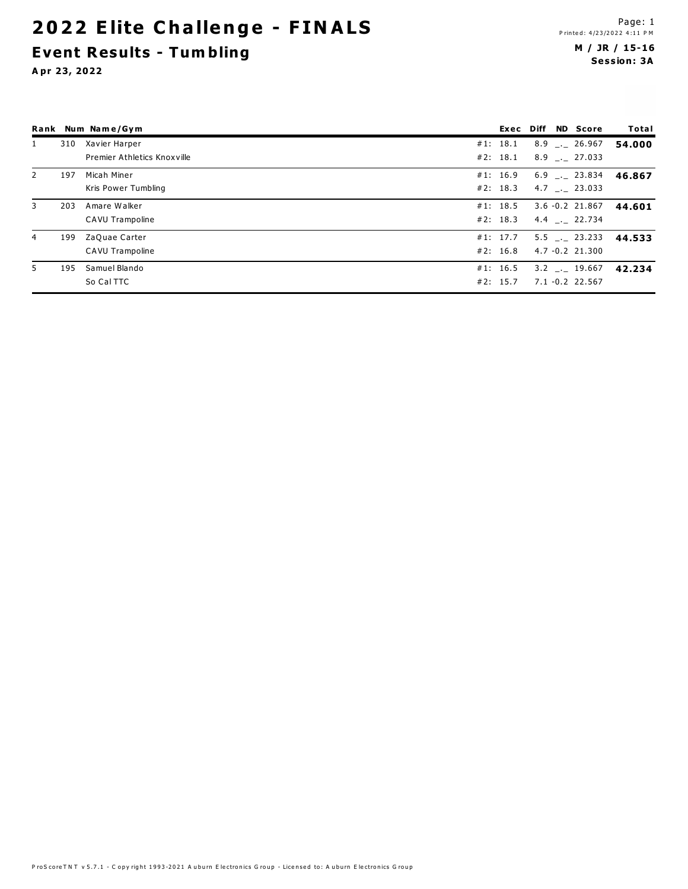## 2022 Elite Challenge - FINALS **Event Results - Tumbling**

|                |     | Rank Num Name/Gym           |          |  | Exec Diff ND Score   | Total  |
|----------------|-----|-----------------------------|----------|--|----------------------|--------|
| 1              | 310 | Xavier Harper               | #1: 18.1 |  | $8.9$ $_{-.}$ 26.967 | 54.000 |
|                |     | Premier Athletics Knoxville | #2: 18.1 |  | 8.9 . 27.033         |        |
| $\overline{2}$ | 197 | Micah Miner                 | #1: 16.9 |  | $6.9$ $_{--}$ 23.834 | 46.867 |
|                |     | Kris Power Tumbling         | #2: 18.3 |  | $4.7$ $_{-1}$ 23.033 |        |
| 3              | 203 | Amare Walker                | #1: 18.5 |  | $3.6 - 0.2$ 21.867   | 44.601 |
|                |     | CAVU Trampoline             | #2: 18.3 |  | 4.4 . 22.734         |        |
| 4              | 199 | ZaQuae Carter               | #1: 17.7 |  | $5.5$ $_{-1}$ 23.233 | 44.533 |
|                |     | CAVU Trampoline             | #2: 16.8 |  | $4.7 - 0.2$ 21.300   |        |
| 5              | 195 | Samuel Blando               | #1: 16.5 |  | 3.2 . 19.667         | 42.234 |
|                |     | So Cal TTC                  | #2: 15.7 |  | 7.1 -0.2 22.567      |        |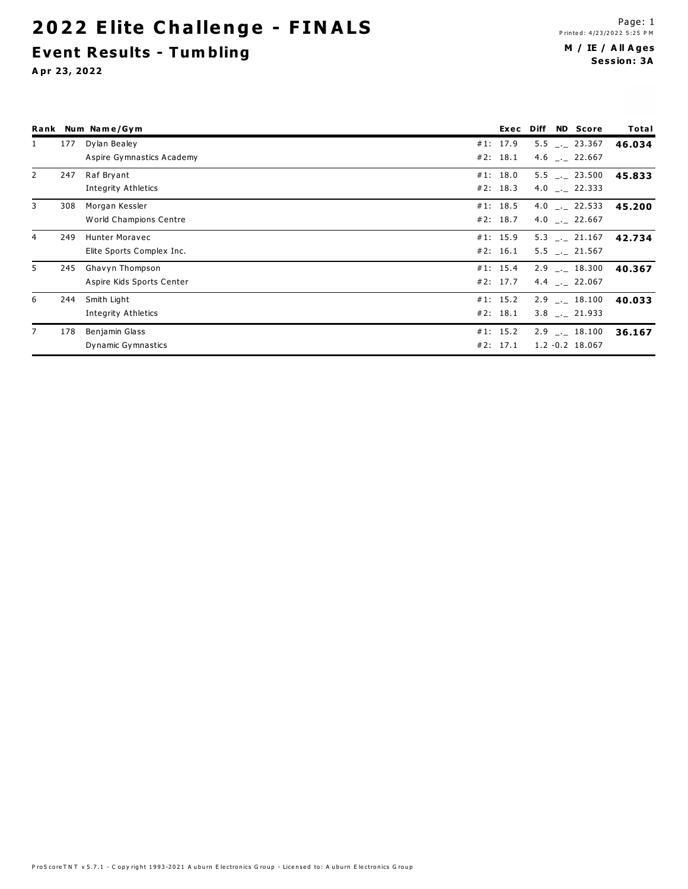## **2022 Elite Challenge - FINALS Event Results - Tum bling**

#### **M / IE / A ll A ge s Se ssion: 3A**

|              |     | Rank Num Name/Gym                                  | Exec Diff            |  | <b>ND</b> Score                            | Total  |
|--------------|-----|----------------------------------------------------|----------------------|--|--------------------------------------------|--------|
| $\mathbf{1}$ | 177 | Dylan Bealey<br>Aspire Gymnastics Academy          | #1: 17.9<br>#2: 18.1 |  | $5.5$ $-.23.367$<br>$4.6$ $-.22.667$       | 46.034 |
|              | 247 | Raf Bryant<br>Integrity Athletics                  | #1: 18.0<br>#2: 18.3 |  | $5.5$ $_{-1}$ 23.500<br>4.0 $\_$ 22.333    | 45.833 |
| 3            | 308 | Morgan Kessler<br>World Champions Centre           | #1: 18.5<br>#2: 18.7 |  | 4.0 $\_$ . 22.533<br>4.0 $\_$ 22.667       | 45.200 |
| 4            | 249 | <b>Hunter Moravec</b><br>Elite Sports Complex Inc. | #1: 15.9<br>#2: 16.1 |  | $5.3$ $_{-1}$ 21.167<br>$5.5$ $-.21.567$   | 42.734 |
| 5.           | 245 | Ghavyn Thompson<br>Aspire Kids Sports Center       | #1: 15.4<br>#2: 17.7 |  | $2.9$ $_{-}$ 18.300<br>4.4 $\_$ 22.067     | 40.367 |
| 6            | 244 | Smith Light<br><b>Integrity Athletics</b>          | #1: 15.2<br>#2: 18.1 |  | $2.9$ $_{-1}$ 18.100<br>$3.8$ $-.21.933$   | 40.033 |
|              | 178 | Benjamin Glass<br>Dynamic Gymnastics               | #1: 15.2<br>#2: 17.1 |  | $2.9$ $_{-1}$ 18.100<br>$1.2 - 0.2$ 18.067 | 36.167 |